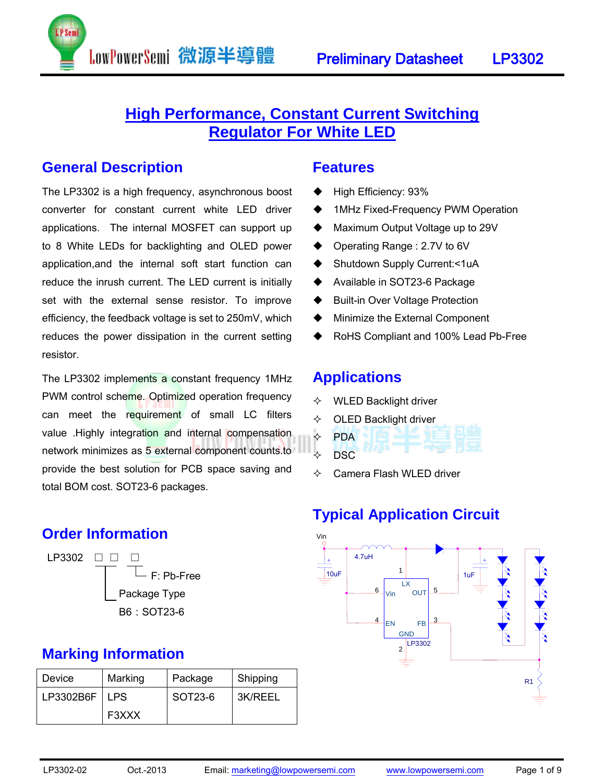# **High Performance, Constant Current Switching Regulator For White LED**

### **General Description**

The LP3302 is a high frequency, asynchronous boost converter for constant current white LED driver applications. The internal MOSFET can support up to 8 White LEDs for backlighting and OLED power application,and the internal soft start function can reduce the inrush current. The LED current is initially set with the external sense resistor. To improve efficiency, the feedback voltage is set to 250mV, which reduces the power dissipation in the current setting resistor.

LowPowerSemi 微源半導體

The LP3302 implements a constant frequency 1MHz PWM control scheme. Optimized operation frequency can meet the requirement of small LC filters value .Highly integration and internal compensation network minimizes as 5 external component counts.to provide the best solution for PCB space saving and total BOM cost. SOT23-6 packages.

### **Order Information**



### **Marking Information**

| Device    | Marking | Package | Shipping |
|-----------|---------|---------|----------|
| LP3302B6F | LPS.    | SOT23-6 | 3K/REEL  |
|           | F3XXX   |         |          |

### **Features**

- High Efficiency: 93%
- ◆ 1MHz Fixed-Frequency PWM Operation
- ◆ Maximum Output Voltage up to 29V
- ◆ Operating Range : 2.7V to 6V
- ◆ Shutdown Supply Current:<1uA
- ◆ Available in SOT23-6 Package
- ♦ Built-in Over Voltage Protection
- Minimize the External Component
- RoHS Compliant and 100% Lead Pb-Free

### **Applications**

- $\Leftrightarrow$  WLED Backlight driver
- $\Diamond$  OLED Backlight driver
- $\div$  PDA  $\lozenge$  DSC
- $\Leftrightarrow$  Camera Flash WLED driver

# **Typical Application Circuit**

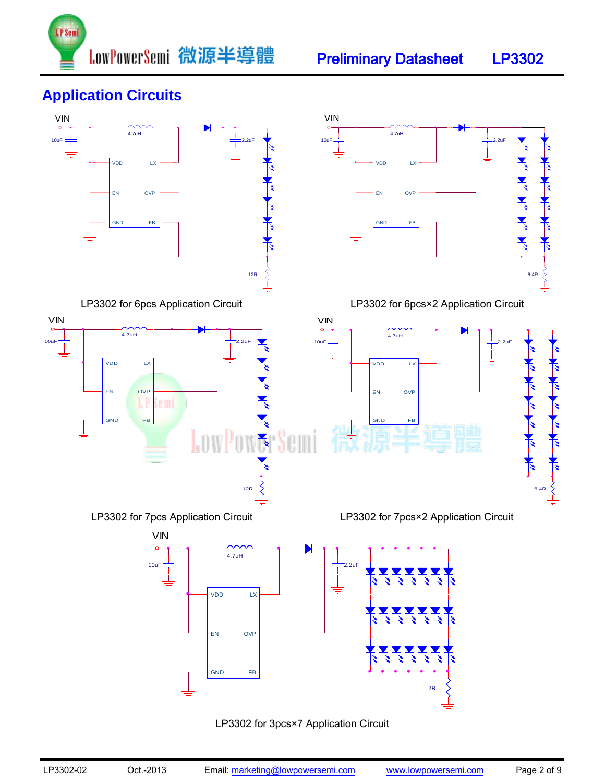





### LP3302 for 3pcs×7 Application Circuit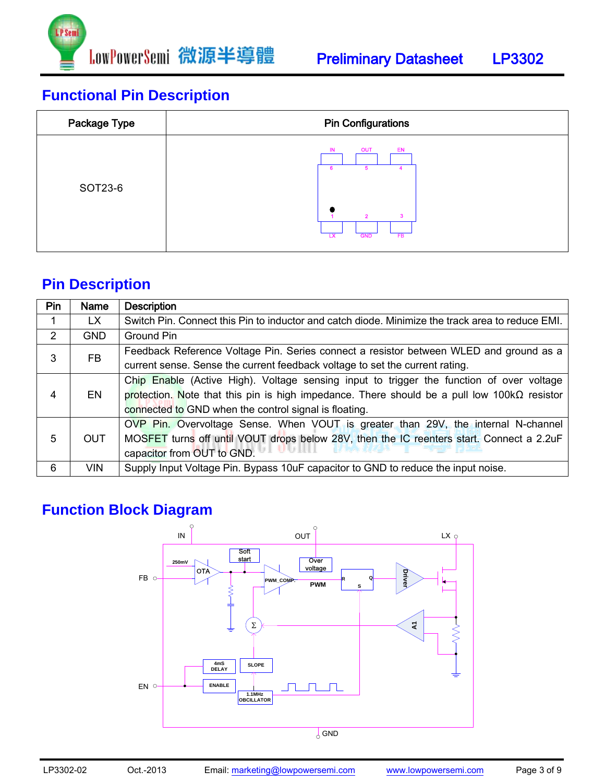

| Package Type | <b>Pin Configurations</b>                                                                                         |  |  |  |
|--------------|-------------------------------------------------------------------------------------------------------------------|--|--|--|
| SOT23-6      | <b>OUT</b><br>EN<br>IN<br>6<br>5<br>$\mathbf{3}$<br>$\overline{2}$<br><b>GND</b><br>FB<br>$\overline{\mathbf{x}}$ |  |  |  |

# **Pin Description**

| Pin            | <b>Name</b> | <b>Description</b>                                                                                  |
|----------------|-------------|-----------------------------------------------------------------------------------------------------|
|                | LX.         | Switch Pin. Connect this Pin to inductor and catch diode. Minimize the track area to reduce EMI.    |
| $\overline{2}$ | <b>GND</b>  | Ground Pin                                                                                          |
| 3              | FB.         | Feedback Reference Voltage Pin. Series connect a resistor between WLED and ground as a              |
|                |             | current sense. Sense the current feedback voltage to set the current rating.                        |
|                | EN          | Chip Enable (Active High). Voltage sensing input to trigger the function of over voltage            |
| 4              |             | protection. Note that this pin is high impedance. There should be a pull low 100k $\Omega$ resistor |
|                |             | connected to GND when the control signal is floating.                                               |
|                | <b>OUT</b>  | OVP Pin. Overvoltage Sense. When VOUT is greater than 29V, the internal N-channel                   |
| 5              |             | MOSFET turns off until VOUT drops below 28V, then the IC reenters start. Connect a 2.2uF            |
|                |             | capacitor from OUT to GND.                                                                          |
| 6              | <b>VIN</b>  | Supply Input Voltage Pin. Bypass 10uF capacitor to GND to reduce the input noise.                   |

# **Function Block Diagram**

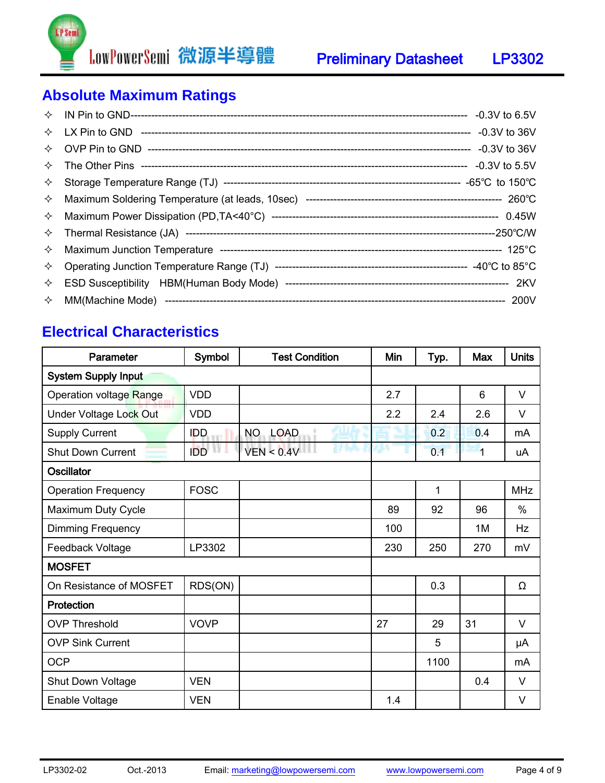

# **Absolute Maximum Ratings**

| ✧                  |  |
|--------------------|--|
| $\rightsquigarrow$ |  |
|                    |  |

### **Electrical Characteristics**

| Parameter                  | Symbol      | <b>Test Condition</b> | Min | Typ. | <b>Max</b> | <b>Units</b> |
|----------------------------|-------------|-----------------------|-----|------|------------|--------------|
| <b>System Supply Input</b> |             |                       |     |      |            |              |
| Operation voltage Range    | <b>VDD</b>  |                       | 2.7 |      | 6          | $\vee$       |
| Under Voltage Lock Out     | <b>VDD</b>  |                       | 2.2 | 2.4  | 2.6        | V            |
| <b>Supply Current</b>      | <b>IDD</b>  | NO.<br><b>LOAD</b>    |     | 0.2  | 0.4        | mA           |
| <b>Shut Down Current</b>   | <b>IDD</b>  | VEN < 0.4V            |     | 0.1  | 1          | uA           |
| <b>Oscillator</b>          |             |                       |     |      |            |              |
| <b>Operation Frequency</b> | <b>FOSC</b> |                       |     | 1    |            | <b>MHz</b>   |
| Maximum Duty Cycle         |             |                       | 89  | 92   | 96         | $\%$         |
| Dimming Frequency          |             |                       | 100 |      | 1M         | Hz           |
| Feedback Voltage           | LP3302      |                       | 230 | 250  | 270        | mV           |
| <b>MOSFET</b>              |             |                       |     |      |            |              |
| On Resistance of MOSFET    | RDS(ON)     |                       |     | 0.3  |            | Ω            |
| Protection                 |             |                       |     |      |            |              |
| <b>OVP Threshold</b>       | <b>VOVP</b> |                       | 27  | 29   | 31         | V            |
| <b>OVP Sink Current</b>    |             |                       |     | 5    |            | μA           |
| <b>OCP</b>                 |             |                       |     | 1100 |            | mA           |
| Shut Down Voltage          | <b>VEN</b>  |                       |     |      | 0.4        | V            |
| Enable Voltage             | <b>VEN</b>  |                       | 1.4 |      |            | V            |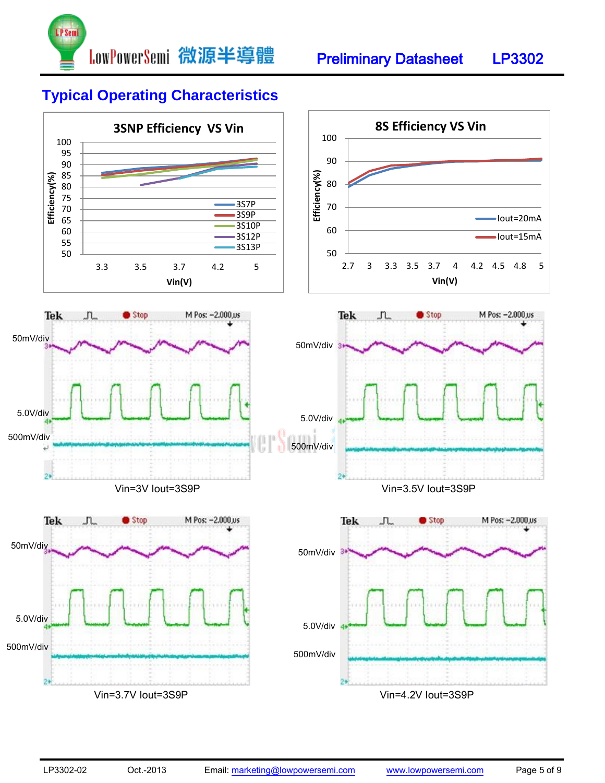

### **Typical Operating Characteristics**

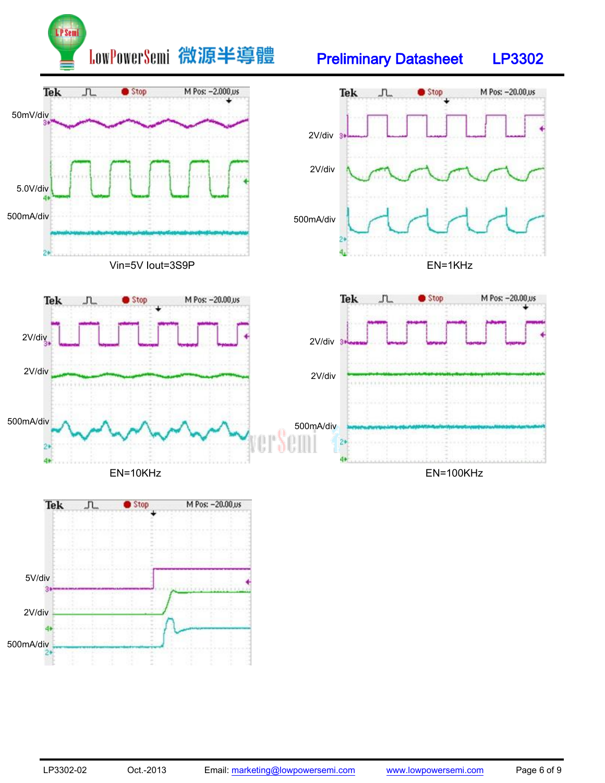

# Preliminary Datasheet LP3302

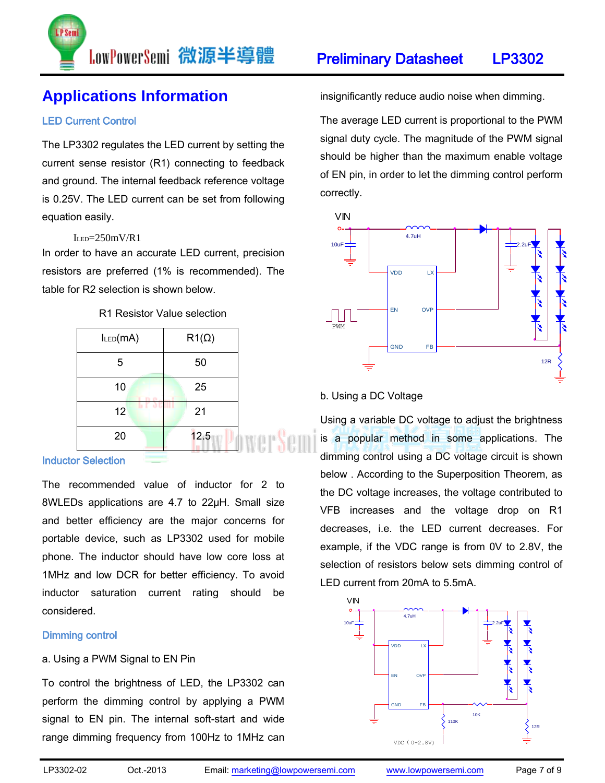

# **Applications Information**

### LED Current Control

The LP3302 regulates the LED current by setting the current sense resistor (R1) connecting to feedback and ground. The internal feedback reference voltage is 0.25V. The LED current can be set from following equation easily.

### $I_{LED} = 250$ m $V/R1$

In order to have an accurate LED current, precision resistors are preferred (1% is recommended). The table for R2 selection is shown below.

### R1 Resistor Value selection

| ILED(MA) | $R1(\Omega)$ |
|----------|--------------|
| 5        | 50           |
| 10       | 25           |
| 12       | 21           |
| 20       | 12.5         |

#### Inductor Selection

The recommended value of inductor for 2 to 8WLEDs applications are 4.7 to 22µH. Small size and better efficiency are the major concerns for portable device, such as LP3302 used for mobile phone. The inductor should have low core loss at 1MHz and low DCR for better efficiency. To avoid inductor saturation current rating should be considered.

#### Dimming control

#### a. Using a PWM Signal to EN Pin

To control the brightness of LED, the LP3302 can perform the dimming control by applying a PWM signal to EN pin. The internal soft-start and wide range dimming frequency from 100Hz to 1MHz can insignificantly reduce audio noise when dimming.

The average LED current is proportional to the PWM signal duty cycle. The magnitude of the PWM signal should be higher than the maximum enable voltage of EN pin, in order to let the dimming control perform correctly.



#### b. Using a DC Voltage

Using a variable DC voltage to adjust the brightness is a popular method in some applications. The dimming control using a DC voltage circuit is shown below . According to the Superposition Theorem, as the DC voltage increases, the voltage contributed to VFB increases and the voltage drop on R1 decreases, i.e. the LED current decreases. For example, if the VDC range is from 0V to 2.8V, the selection of resistors below sets dimming control of LED current from 20mA to 5.5mA.

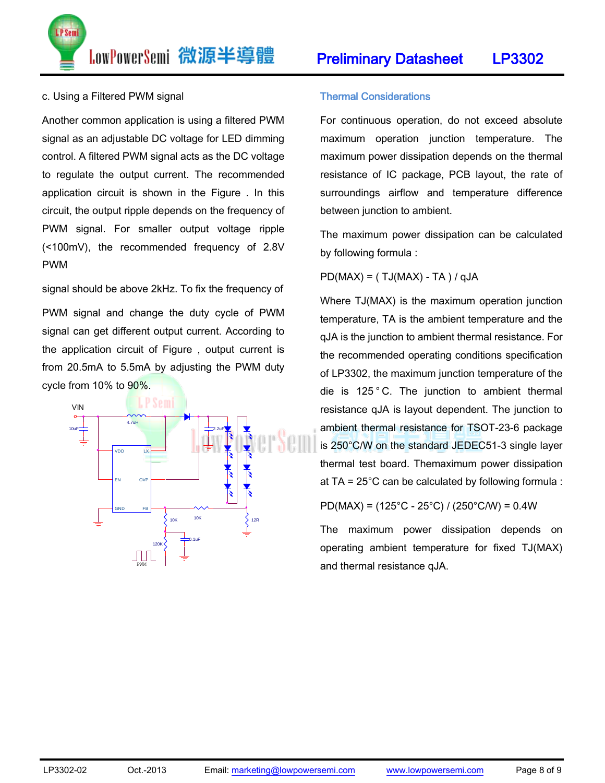Preliminary Datasheet LP3302

LowPowerSemi 微源半導體

#### c. Using a Filtered PWM signal

P Sem

Another common application is using a filtered PWM signal as an adjustable DC voltage for LED dimming control. A filtered PWM signal acts as the DC voltage to regulate the output current. The recommended application circuit is shown in the Figure . In this circuit, the output ripple depends on the frequency of PWM signal. For smaller output voltage ripple (<100mV), the recommended frequency of 2.8V PWM

signal should be above 2kHz. To fix the frequency of PWM signal and change the duty cycle of PWM signal can get different output current. According to the application circuit of Figure , output current is from 20.5mA to 5.5mA by adjusting the PWM duty cycle from  $10\%$  to  $90\%$ .



#### Thermal Considerations

For continuous operation, do not exceed absolute maximum operation junction temperature. The maximum power dissipation depends on the thermal resistance of IC package, PCB layout, the rate of surroundings airflow and temperature difference between junction to ambient.

The maximum power dissipation can be calculated by following formula :

 $PD(MAX) = (TJ(MAX) - TA) / qJA$ 

Where TJ(MAX) is the maximum operation junction temperature, TA is the ambient temperature and the qJA is the junction to ambient thermal resistance. For the recommended operating conditions specification of LP3302, the maximum junction temperature of the die is 125°C. The junction to ambient thermal resistance qJA is layout dependent. The junction to ambient thermal resistance for TSOT-23-6 package is 250°C/W on the standard JEDEC51-3 single layer thermal test board. Themaximum power dissipation at TA =  $25^{\circ}$ C can be calculated by following formula :

PD(MAX) = (125°C - 25°C) / (250°C/W) = 0.4W

The maximum power dissipation depends on operating ambient temperature for fixed TJ(MAX) and thermal resistance qJA.